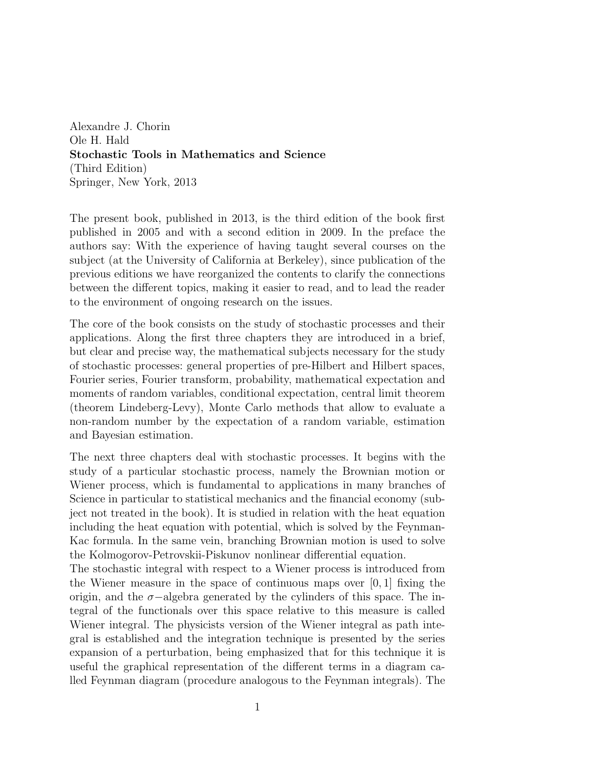Alexandre J. Chorin Ole H. Hald Stochastic Tools in Mathematics and Science (Third Edition) Springer, New York, 2013

The present book, published in 2013, is the third edition of the book first published in 2005 and with a second edition in 2009. In the preface the authors say: With the experience of having taught several courses on the subject (at the University of California at Berkeley), since publication of the previous editions we have reorganized the contents to clarify the connections between the different topics, making it easier to read, and to lead the reader to the environment of ongoing research on the issues.

The core of the book consists on the study of stochastic processes and their applications. Along the first three chapters they are introduced in a brief, but clear and precise way, the mathematical subjects necessary for the study of stochastic processes: general properties of pre-Hilbert and Hilbert spaces, Fourier series, Fourier transform, probability, mathematical expectation and moments of random variables, conditional expectation, central limit theorem (theorem Lindeberg-Levy), Monte Carlo methods that allow to evaluate a non-random number by the expectation of a random variable, estimation and Bayesian estimation.

The next three chapters deal with stochastic processes. It begins with the study of a particular stochastic process, namely the Brownian motion or Wiener process, which is fundamental to applications in many branches of Science in particular to statistical mechanics and the financial economy (subject not treated in the book). It is studied in relation with the heat equation including the heat equation with potential, which is solved by the Feynman-Kac formula. In the same vein, branching Brownian motion is used to solve the Kolmogorov-Petrovskii-Piskunov nonlinear differential equation.

The stochastic integral with respect to a Wiener process is introduced from the Wiener measure in the space of continuous maps over  $[0, 1]$  fixing the origin, and the  $\sigma$ -algebra generated by the cylinders of this space. The integral of the functionals over this space relative to this measure is called Wiener integral. The physicists version of the Wiener integral as path integral is established and the integration technique is presented by the series expansion of a perturbation, being emphasized that for this technique it is useful the graphical representation of the different terms in a diagram called Feynman diagram (procedure analogous to the Feynman integrals). The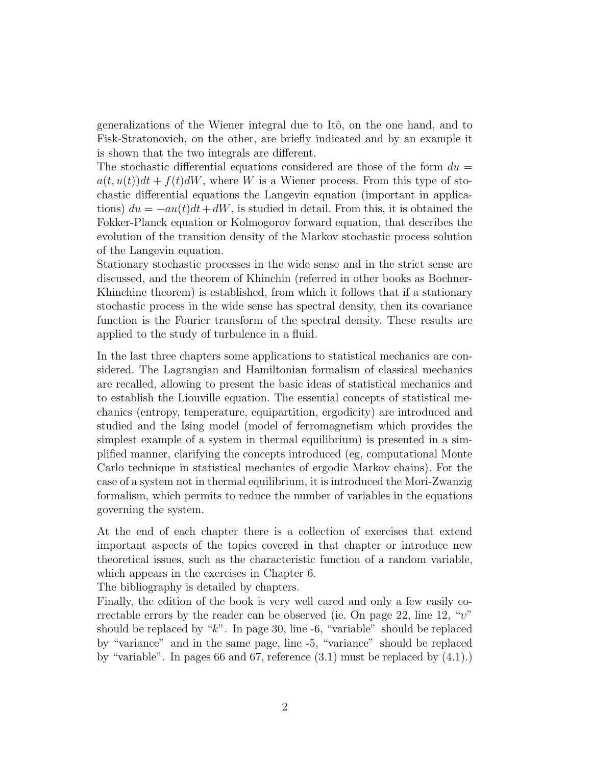generalizations of the Wiener integral due to Itô, on the one hand, and to Fisk-Stratonovich, on the other, are briefly indicated and by an example it is shown that the two integrals are different.

The stochastic differential equations considered are those of the form  $du =$  $a(t, u(t))dt + f(t)dW$ , where W is a Wiener process. From this type of stochastic differential equations the Langevin equation (important in applications)  $du = -au(t)dt + dW$ , is studied in detail. From this, it is obtained the Fokker-Planck equation or Kolmogorov forward equation, that describes the evolution of the transition density of the Markov stochastic process solution of the Langevin equation.

Stationary stochastic processes in the wide sense and in the strict sense are discussed, and the theorem of Khinchin (referred in other books as Bochner-Khinchine theorem) is established, from which it follows that if a stationary stochastic process in the wide sense has spectral density, then its covariance function is the Fourier transform of the spectral density. These results are applied to the study of turbulence in a fluid.

In the last three chapters some applications to statistical mechanics are considered. The Lagrangian and Hamiltonian formalism of classical mechanics are recalled, allowing to present the basic ideas of statistical mechanics and to establish the Liouville equation. The essential concepts of statistical mechanics (entropy, temperature, equipartition, ergodicity) are introduced and studied and the Ising model (model of ferromagnetism which provides the simplest example of a system in thermal equilibrium) is presented in a simplified manner, clarifying the concepts introduced (eg, computational Monte Carlo technique in statistical mechanics of ergodic Markov chains). For the case of a system not in thermal equilibrium, it is introduced the Mori-Zwanzig formalism, which permits to reduce the number of variables in the equations governing the system.

At the end of each chapter there is a collection of exercises that extend important aspects of the topics covered in that chapter or introduce new theoretical issues, such as the characteristic function of a random variable, which appears in the exercises in Chapter 6.

The bibliography is detailed by chapters.

Finally, the edition of the book is very well cared and only a few easily correctable errors by the reader can be observed (ie. On page 22, line 12, " $v$ " should be replaced by  $K$ . In page 30, line -6, "variable" should be replaced by "variance" and in the same page, line -5, "variance" should be replaced by "variable". In pages 66 and 67, reference (3.1) must be replaced by (4.1).)